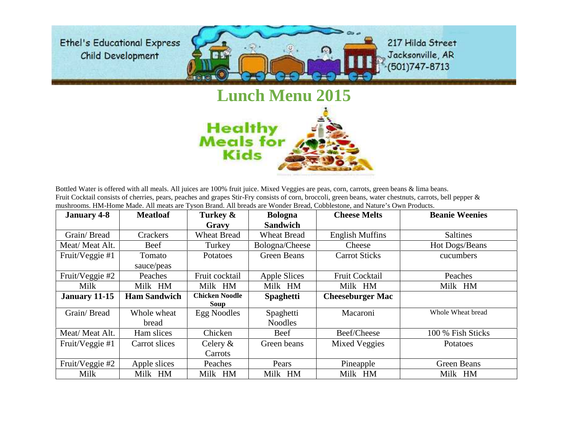

## **Lunch Menu 2015 Healthy**<br>Meals for

Bottled Water is offered with all meals. All juices are 100% fruit juice. Mixed Veggies are peas, corn, carrots, green beans & lima beans. Fruit Cocktail consists of cherries, pears, peaches and grapes Stir-Fry consists of corn, broccoli, green beans, water chestnuts, carrots, bell pepper & mushrooms. HM-Home Made. All meats are Tyson Brand. All breads are Wonder Bread, Cobblestone, and Nature's Own Products.

**Kids** 

| <b>January 4-8</b> | <b>Meatloaf</b>     | Turkey &                      | <b>Bologna</b>     | <b>Cheese Melts</b>     | <b>Beanie Weenies</b> |
|--------------------|---------------------|-------------------------------|--------------------|-------------------------|-----------------------|
|                    |                     | Gravy                         | <b>Sandwich</b>    |                         |                       |
| Grain/Bread        | Crackers            | <b>Wheat Bread</b>            | <b>Wheat Bread</b> | <b>English Muffins</b>  | <b>Saltines</b>       |
| Meat/Meat Alt.     | Beef                | Turkey                        | Bologna/Cheese     | Cheese                  | Hot Dogs/Beans        |
| Fruit/Veggie #1    | Tomato              | <b>Potatoes</b>               | <b>Green Beans</b> | <b>Carrot Sticks</b>    | cucumbers             |
|                    | sauce/peas          |                               |                    |                         |                       |
| Fruit/Veggie #2    | Peaches             | Fruit cocktail                | Apple Slices       | <b>Fruit Cocktail</b>   | Peaches               |
| Milk               | Milk HM             | Milk HM                       | Milk HM            | Milk HM                 | Milk HM               |
| January 11-15      | <b>Ham Sandwich</b> | <b>Chicken Noodle</b><br>Soup | <b>Spaghetti</b>   | <b>Cheeseburger Mac</b> |                       |
| Grain/Bread        | Whole wheat         | Egg Noodles                   | Spaghetti          | Macaroni                | Whole Wheat bread     |
|                    | bread               |                               | <b>Noodles</b>     |                         |                       |
| Meat/Meat Alt.     | Ham slices          | Chicken                       | Beef               | Beef/Cheese             | 100 % Fish Sticks     |
| Fruit/Veggie #1    | Carrot slices       | Celery $\&$                   | Green beans        | <b>Mixed Veggies</b>    | Potatoes              |
|                    |                     | Carrots                       |                    |                         |                       |
| Fruit/Veggie #2    | Apple slices        | Peaches                       | Pears              | Pineapple               | <b>Green Beans</b>    |
| Milk               | Milk HM             | Milk HM                       | Milk HM            | Milk HM                 | Milk HM               |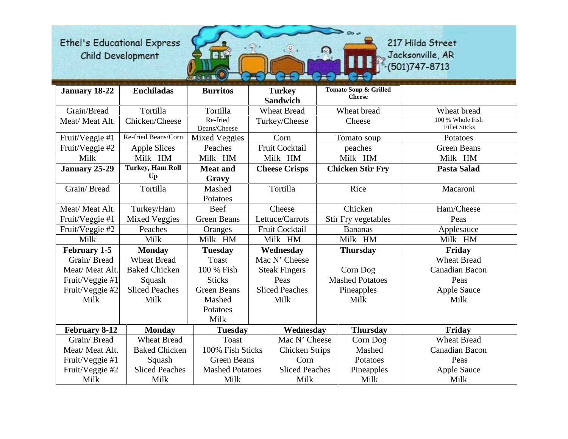

| <b>January 18-22</b> | <b>Enchiladas</b>       | <b>Burritos</b>        | <b>Turkey</b>                          |  | Tomato Soup & Grilled   |                       |
|----------------------|-------------------------|------------------------|----------------------------------------|--|-------------------------|-----------------------|
|                      |                         |                        | <b>Sandwich</b>                        |  | <b>Cheese</b>           |                       |
| Grain/Bread          | Tortilla                | Tortilla               | <b>Wheat Bread</b>                     |  | Wheat bread             | Wheat bread           |
| Meat/ Meat Alt.      | Chicken/Cheese          | Re-fried               | Turkey/Cheese                          |  | Cheese                  | 100 % Whole Fish      |
|                      |                         | Beans/Cheese           |                                        |  |                         | <b>Fillet Sticks</b>  |
| Fruit/Veggie #1      | Re-fried Beans/Corn     | <b>Mixed Veggies</b>   | Corn                                   |  | Tomato soup             | Potatoes              |
| Fruit/Veggie #2      | <b>Apple Slices</b>     | Peaches                | Fruit Cocktail                         |  | peaches                 | <b>Green Beans</b>    |
| Milk                 | Milk HM                 | Milk HM                | Milk HM                                |  | Milk HM                 | Milk HM               |
| January 25-29        | <b>Turkey, Ham Roll</b> | <b>Meat and</b>        | <b>Cheese Crisps</b>                   |  | <b>Chicken Stir Fry</b> | <b>Pasta Salad</b>    |
|                      | Up                      | Gravy                  |                                        |  |                         |                       |
| Grain/Bread          | Tortilla                | Mashed                 | Tortilla                               |  | Rice                    | Macaroni              |
|                      |                         | Potatoes               |                                        |  |                         |                       |
| Meat/Meat Alt.       | Turkey/Ham              | Beef                   | Cheese                                 |  | Chicken                 | Ham/Cheese            |
| Fruit/Veggie #1      | <b>Mixed Veggies</b>    | <b>Green Beans</b>     | Lettuce/Carrots<br>Stir Fry vegetables |  |                         | Peas                  |
| Fruit/Veggie #2      | Peaches                 | Oranges                | Fruit Cocktail                         |  | <b>Bananas</b>          | Applesauce            |
| Milk                 | Milk                    | Milk HM                | Milk HM                                |  | Milk HM                 | Milk HM               |
| <b>February 1-5</b>  | <b>Monday</b>           | <b>Tuesday</b>         | Wednesday                              |  | <b>Thursday</b>         | Friday                |
| Grain/Bread          | <b>Wheat Bread</b>      | <b>Toast</b>           | Mac N' Cheese                          |  |                         | <b>Wheat Bread</b>    |
| Meat/Meat Alt.       | <b>Baked Chicken</b>    | 100 % Fish             | <b>Steak Fingers</b>                   |  | Corn Dog                | Canadian Bacon        |
| Fruit/Veggie #1      | Squash                  | <b>Sticks</b>          | Peas                                   |  | <b>Mashed Potatoes</b>  | Peas                  |
| Fruit/Veggie #2      | <b>Sliced Peaches</b>   | <b>Green Beans</b>     | <b>Sliced Peaches</b>                  |  | Pineapples              | <b>Apple Sauce</b>    |
| Milk                 | Milk                    | Mashed                 | Milk                                   |  | Milk                    | Milk                  |
|                      |                         | Potatoes               |                                        |  |                         |                       |
|                      |                         | Milk                   |                                        |  |                         |                       |
| February 8-12        | <b>Monday</b>           | <b>Tuesday</b>         | Wednesday                              |  | <b>Thursday</b>         | Friday                |
| Grain/Bread          | <b>Wheat Bread</b>      | <b>Toast</b>           | Mac N' Cheese                          |  | Corn Dog                | <b>Wheat Bread</b>    |
| Meat/ Meat Alt.      | <b>Baked Chicken</b>    | 100% Fish Sticks       | <b>Chicken Strips</b>                  |  | Mashed                  | <b>Canadian Bacon</b> |
| Fruit/Veggie #1      | Squash                  | <b>Green Beans</b>     | Corn                                   |  | Potatoes                | Peas                  |
| Fruit/Veggie #2      | <b>Sliced Peaches</b>   | <b>Mashed Potatoes</b> | <b>Sliced Peaches</b>                  |  | Pineapples              | <b>Apple Sauce</b>    |
| Milk                 | Milk                    | Milk                   | Milk                                   |  | Milk                    | Milk                  |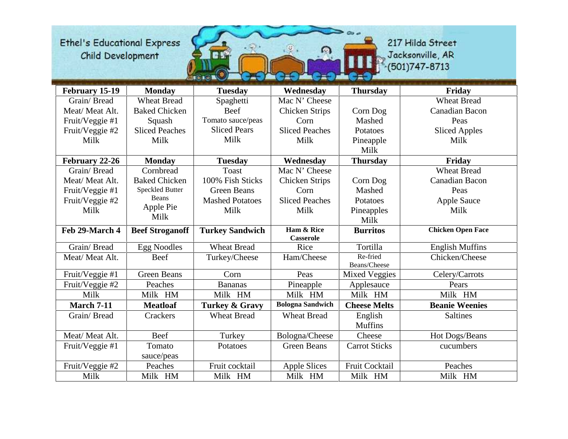217 Hilda Street Jacksonville, AR<br>(501)747-8713

E

| February 15-19    | <b>Monday</b>          | <b>Tuesday</b>            | Wednesday                      | <b>Thursday</b>      | Friday                   |
|-------------------|------------------------|---------------------------|--------------------------------|----------------------|--------------------------|
| Grain/Bread       | <b>Wheat Bread</b>     | Spaghetti                 | Mac N' Cheese                  |                      | <b>Wheat Bread</b>       |
| Meat/Meat Alt.    | <b>Baked Chicken</b>   | Beef                      | <b>Chicken Strips</b>          | Corn Dog             | <b>Canadian Bacon</b>    |
| Fruit/Veggie #1   | Squash                 | Tomato sauce/peas         | Corn                           | Mashed               | Peas                     |
| Fruit/Veggie #2   | <b>Sliced Peaches</b>  | <b>Sliced Pears</b>       | <b>Sliced Peaches</b>          | Potatoes             | <b>Sliced Apples</b>     |
| Milk              | Milk                   | Milk                      | Milk                           | Pineapple            | Milk                     |
|                   |                        |                           |                                | Milk                 |                          |
| February 22-26    | <b>Monday</b>          | <b>Tuesday</b>            | Wednesday                      | <b>Thursday</b>      | Friday                   |
| Grain/Bread       | Cornbread              | <b>Toast</b>              | Mac N' Cheese                  |                      | <b>Wheat Bread</b>       |
| Meat/Meat Alt.    | <b>Baked Chicken</b>   | 100% Fish Sticks          | <b>Chicken Strips</b>          | Corn Dog             | <b>Canadian Bacon</b>    |
| Fruit/Veggie #1   | <b>Speckled Butter</b> | <b>Green Beans</b>        | Corn                           | Mashed               | Peas                     |
| Fruit/Veggie #2   | <b>Beans</b>           | <b>Mashed Potatoes</b>    | <b>Sliced Peaches</b>          | Potatoes             | <b>Apple Sauce</b>       |
| Milk              | Apple Pie              | Milk                      | Milk                           | Pineapples           | Milk                     |
|                   | Milk                   |                           |                                | Milk                 |                          |
| Feb 29-March 4    | <b>Beef Stroganoff</b> | <b>Turkey Sandwich</b>    | Ham & Rice<br><b>Casserole</b> | <b>Burritos</b>      | <b>Chicken Open Face</b> |
| Grain/Bread       | <b>Egg Noodles</b>     | <b>Wheat Bread</b>        | Rice                           | Tortilla             | <b>English Muffins</b>   |
| Meat/Meat Alt.    | Beef                   | Turkey/Cheese             | Ham/Cheese                     | Re-fried             | Chicken/Cheese           |
|                   |                        |                           |                                | Beans/Cheese         |                          |
| Fruit/Veggie #1   | <b>Green Beans</b>     | Corn                      | Peas                           | <b>Mixed Veggies</b> | Celery/Carrots           |
| Fruit/Veggie #2   | Peaches                | <b>Bananas</b>            | Pineapple                      | Applesauce           | Pears                    |
| Milk              | Milk HM                | Milk HM                   | Milk HM                        | Milk HM              | Milk HM                  |
| <b>March 7-11</b> | <b>Meatloaf</b>        | <b>Turkey &amp; Gravy</b> | <b>Bologna Sandwich</b>        | <b>Cheese Melts</b>  | <b>Beanie Weenies</b>    |
| Grain/Bread       | Crackers               | <b>Wheat Bread</b>        | <b>Wheat Bread</b>             | English              | <b>Saltines</b>          |
|                   |                        |                           |                                | <b>Muffins</b>       |                          |
| Meat/Meat Alt.    | <b>Beef</b>            | Turkey                    | Bologna/Cheese                 | Cheese               | Hot Dogs/Beans           |
| Fruit/Veggie #1   | Tomato                 | Potatoes                  | <b>Green Beans</b>             | <b>Carrot Sticks</b> | cucumbers                |
|                   | sauce/peas             |                           |                                |                      |                          |
| Fruit/Veggie #2   | Peaches                | Fruit cocktail            | <b>Apple Slices</b>            | Fruit Cocktail       | Peaches                  |
| Milk              | Milk HM                | Milk HM                   | Milk HM                        | Milk HM              | Milk HM                  |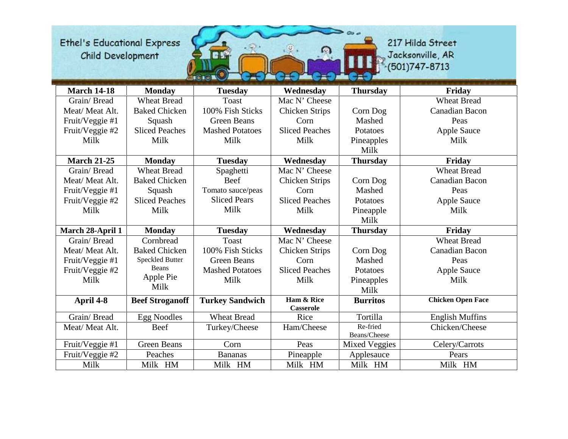217 Hilda Street Jacksonville, AR<br>(501)747-8713

52.

| <b>March 14-18</b> | <b>Monday</b>          | <b>Tuesday</b>         | Wednesday                      | <b>Thursday</b>      | Friday                   |
|--------------------|------------------------|------------------------|--------------------------------|----------------------|--------------------------|
| Grain/Bread        | <b>Wheat Bread</b>     | <b>Toast</b>           | Mac N' Cheese                  |                      | <b>Wheat Bread</b>       |
| Meat/Meat Alt.     | <b>Baked Chicken</b>   | 100% Fish Sticks       | <b>Chicken Strips</b>          | Corn Dog             | <b>Canadian Bacon</b>    |
| Fruit/Veggie #1    | Squash                 | <b>Green Beans</b>     | Corn                           | Mashed               | Peas                     |
| Fruit/Veggie #2    | <b>Sliced Peaches</b>  | <b>Mashed Potatoes</b> | <b>Sliced Peaches</b>          | Potatoes             | <b>Apple Sauce</b>       |
| Milk               | Milk                   | Milk                   | Milk                           | Pineapples           | Milk                     |
|                    |                        |                        |                                | Milk                 |                          |
| <b>March 21-25</b> | <b>Monday</b>          | <b>Tuesday</b>         | Wednesday                      | <b>Thursday</b>      | Friday                   |
| Grain/Bread        | <b>Wheat Bread</b>     | Spaghetti              | Mac N' Cheese                  |                      | <b>Wheat Bread</b>       |
| Meat/Meat Alt.     | <b>Baked Chicken</b>   | <b>Beef</b>            | <b>Chicken Strips</b>          | Corn Dog             | <b>Canadian Bacon</b>    |
| Fruit/Veggie #1    | Squash                 | Tomato sauce/peas      | Corn                           | Mashed               | Peas                     |
| Fruit/Veggie #2    | <b>Sliced Peaches</b>  | <b>Sliced Pears</b>    | <b>Sliced Peaches</b>          | Potatoes             | <b>Apple Sauce</b>       |
| Milk               | Milk                   | Milk                   | Milk                           | Pineapple            | Milk                     |
|                    |                        |                        |                                | Milk                 |                          |
| March 28-April 1   | <b>Monday</b>          | <b>Tuesday</b>         | Wednesday                      | <b>Thursday</b>      | Friday                   |
| Grain/Bread        | Cornbread              | <b>Toast</b>           | Mac N' Cheese                  |                      | <b>Wheat Bread</b>       |
| Meat/Meat Alt.     | <b>Baked Chicken</b>   | 100% Fish Sticks       | <b>Chicken Strips</b>          | Corn Dog             | <b>Canadian Bacon</b>    |
| Fruit/Veggie #1    | <b>Speckled Butter</b> | <b>Green Beans</b>     | Corn                           | Mashed               | Peas                     |
| Fruit/Veggie #2    | Beans                  | <b>Mashed Potatoes</b> | <b>Sliced Peaches</b>          | Potatoes             | <b>Apple Sauce</b>       |
| Milk               | Apple Pie              | Milk                   | Milk                           | Pineapples           | Milk                     |
|                    | Milk                   |                        |                                | Milk                 |                          |
| April 4-8          | <b>Beef Stroganoff</b> | <b>Turkey Sandwich</b> | Ham & Rice<br><b>Casserole</b> | <b>Burritos</b>      | <b>Chicken Open Face</b> |
| Grain/Bread        | <b>Egg Noodles</b>     | <b>Wheat Bread</b>     | Rice                           | Tortilla             | <b>English Muffins</b>   |
| Meat/Meat Alt.     | Beef                   | Turkey/Cheese          | Ham/Cheese                     | Re-fried             | Chicken/Cheese           |
|                    |                        |                        |                                | Beans/Cheese         |                          |
| Fruit/Veggie #1    | <b>Green Beans</b>     | Corn                   | Peas                           | <b>Mixed Veggies</b> | Celery/Carrots           |
| Fruit/Veggie #2    | Peaches                | <b>Bananas</b>         | Pineapple                      | Applesauce           | Pears                    |
| Milk               | Milk HM                | Milk HM                | Milk HM                        | Milk HM              | Milk HM                  |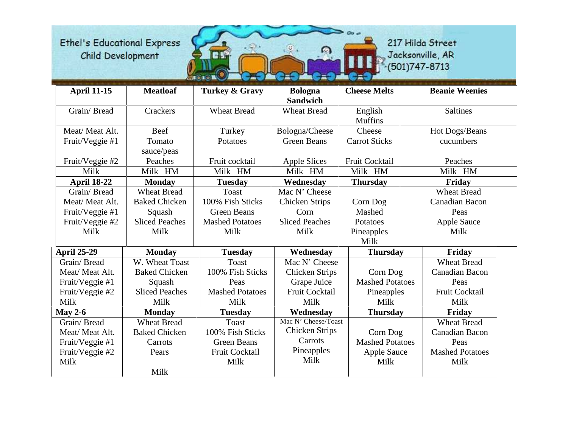

| <b>April 11-15</b> | <b>Meatloaf</b>       | <b>Turkey &amp; Gravy</b> | <b>Bologna</b><br><b>Sandwich</b> | <b>Cheese Melts</b>      | <b>Beanie Weenies</b>  |
|--------------------|-----------------------|---------------------------|-----------------------------------|--------------------------|------------------------|
| Grain/Bread        | Crackers              | <b>Wheat Bread</b>        | <b>Wheat Bread</b>                | English                  | <b>Saltines</b>        |
| Meat/Meat Alt.     | Beef                  | Turkey                    | Bologna/Cheese                    | <b>Muffins</b><br>Cheese | Hot Dogs/Beans         |
| Fruit/Veggie #1    | Tomato                | Potatoes                  | <b>Green Beans</b>                | <b>Carrot Sticks</b>     | cucumbers              |
|                    | sauce/peas            |                           |                                   |                          |                        |
| Fruit/Veggie #2    | Peaches               | Fruit cocktail            | <b>Apple Slices</b>               | Fruit Cocktail           | Peaches                |
| Milk               | Milk HM               | Milk HM                   | Milk HM                           | Milk HM                  | Milk HM                |
| <b>April 18-22</b> | <b>Monday</b>         | <b>Tuesday</b>            | Wednesday                         | <b>Thursday</b>          | Friday                 |
| Grain/Bread        | <b>Wheat Bread</b>    | <b>Toast</b>              | Mac N' Cheese                     |                          | <b>Wheat Bread</b>     |
| Meat/Meat Alt.     | <b>Baked Chicken</b>  | 100% Fish Sticks          | <b>Chicken Strips</b>             | Corn Dog                 | Canadian Bacon         |
| Fruit/Veggie #1    | Squash                | <b>Green Beans</b>        | Corn                              | Mashed                   | Peas                   |
| Fruit/Veggie #2    | <b>Sliced Peaches</b> | <b>Mashed Potatoes</b>    | <b>Sliced Peaches</b>             | Potatoes                 | <b>Apple Sauce</b>     |
| Milk               | Milk                  | Milk                      | Milk                              | Pineapples               | Milk                   |
|                    |                       |                           |                                   | Milk                     |                        |
| <b>April 25-29</b> | <b>Monday</b>         | <b>Tuesday</b>            | Wednesday                         | <b>Thursday</b>          | Friday                 |
| Grain/Bread        | W. Wheat Toast        | <b>Toast</b>              | Mac N' Cheese                     |                          | <b>Wheat Bread</b>     |
| Meat/ Meat Alt.    | <b>Baked Chicken</b>  | 100% Fish Sticks          | <b>Chicken Strips</b>             | Corn Dog                 | <b>Canadian Bacon</b>  |
| Fruit/Veggie #1    | Squash                | Peas                      | Grape Juice                       | <b>Mashed Potatoes</b>   | Peas                   |
| Fruit/Veggie #2    | <b>Sliced Peaches</b> | <b>Mashed Potatoes</b>    | <b>Fruit Cocktail</b>             | Pineapples               | Fruit Cocktail         |
| Milk               | Milk                  | Milk                      | Milk                              | Milk                     | Milk                   |
| May 2-6            | <b>Monday</b>         | <b>Tuesday</b>            | Wednesday                         | <b>Thursday</b>          | Friday                 |
| Grain/Bread        | <b>Wheat Bread</b>    | Toast                     | Mac N' Cheese/Toast               |                          | <b>Wheat Bread</b>     |
| Meat/ Meat Alt.    | <b>Baked Chicken</b>  | 100% Fish Sticks          | <b>Chicken Strips</b>             | Corn Dog                 | <b>Canadian Bacon</b>  |
| Fruit/Veggie #1    | Carrots               | <b>Green Beans</b>        | Carrots                           | <b>Mashed Potatoes</b>   | Peas                   |
| Fruit/Veggie #2    | Pears                 | Fruit Cocktail            | Pineapples                        | <b>Apple Sauce</b>       | <b>Mashed Potatoes</b> |
| Milk               |                       | Milk                      | Milk                              | Milk                     | Milk                   |
|                    | Milk                  |                           |                                   |                          |                        |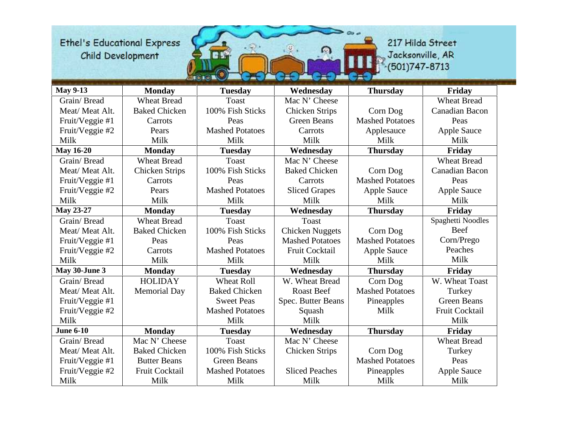

| <b>May 9-13</b>  | <b>Monday</b>         | <b>Tuesday</b>         | Wednesday              | <b>Thursday</b>        | Friday                |
|------------------|-----------------------|------------------------|------------------------|------------------------|-----------------------|
| Grain/Bread      | <b>Wheat Bread</b>    | <b>Toast</b>           | Mac N' Cheese          |                        | <b>Wheat Bread</b>    |
| Meat/Meat Alt.   | <b>Baked Chicken</b>  | 100% Fish Sticks       | <b>Chicken Strips</b>  | Corn Dog               | Canadian Bacon        |
| Fruit/Veggie #1  | Carrots               | Peas                   | <b>Green Beans</b>     | <b>Mashed Potatoes</b> | Peas                  |
| Fruit/Veggie #2  | Pears                 | <b>Mashed Potatoes</b> | Carrots                | Applesauce             | <b>Apple Sauce</b>    |
| Milk             | Milk                  | Milk                   | Milk                   | Milk                   | Milk                  |
| <b>May 16-20</b> | <b>Monday</b>         | <b>Tuesday</b>         | Wednesday              | <b>Thursday</b>        | Friday                |
| Grain/Bread      | <b>Wheat Bread</b>    | <b>Toast</b>           | Mac N' Cheese          |                        | <b>Wheat Bread</b>    |
| Meat/Meat Alt.   | <b>Chicken Strips</b> | 100% Fish Sticks       | <b>Baked Chicken</b>   | Corn Dog               | <b>Canadian Bacon</b> |
| Fruit/Veggie #1  | Carrots               | Peas                   | Carrots                | <b>Mashed Potatoes</b> | Peas                  |
| Fruit/Veggie #2  | Pears                 | <b>Mashed Potatoes</b> | <b>Sliced Grapes</b>   | <b>Apple Sauce</b>     | <b>Apple Sauce</b>    |
| Milk             | Milk                  | Milk                   | Milk                   | Milk                   | Milk                  |
| <b>May 23-27</b> | <b>Monday</b>         | <b>Tuesday</b>         | Wednesday              | <b>Thursday</b>        | Friday                |
| Grain/Bread      | <b>Wheat Bread</b>    | <b>Toast</b>           | <b>Toast</b>           |                        | Spaghetti Noodles     |
| Meat/Meat Alt.   | <b>Baked Chicken</b>  | 100% Fish Sticks       | <b>Chicken Nuggets</b> | Corn Dog               | Beef                  |
| Fruit/Veggie #1  | Peas                  | Peas                   | <b>Mashed Potatoes</b> | <b>Mashed Potatoes</b> | Corn/Prego            |
| Fruit/Veggie #2  | Carrots               | <b>Mashed Potatoes</b> | <b>Fruit Cocktail</b>  | Apple Sauce            | Peaches               |
| Milk             | Milk                  | Milk                   | Milk                   | Milk                   | Milk                  |
| May 30-June 3    | <b>Monday</b>         | <b>Tuesday</b>         | Wednesday              | <b>Thursday</b>        | Friday                |
| Grain/Bread      | <b>HOLIDAY</b>        | <b>Wheat Roll</b>      | W. Wheat Bread         | Corn Dog               | W. Wheat Toast        |
| Meat/Meat Alt.   | <b>Memorial Day</b>   | <b>Baked Chicken</b>   | <b>Roast Beef</b>      | <b>Mashed Potatoes</b> | Turkey                |
| Fruit/Veggie #1  |                       | <b>Sweet Peas</b>      | Spec. Butter Beans     | Pineapples             | <b>Green Beans</b>    |
| Fruit/Veggie #2  |                       | <b>Mashed Potatoes</b> | Squash                 | Milk                   | Fruit Cocktail        |
| Milk             |                       | Milk                   | Milk                   |                        | Milk                  |
| <b>June 6-10</b> | <b>Monday</b>         | <b>Tuesday</b>         | Wednesday              | <b>Thursday</b>        | Friday                |
| Grain/Bread      | Mac N' Cheese         | <b>Toast</b>           | Mac N' Cheese          |                        | <b>Wheat Bread</b>    |
| Meat/Meat Alt.   | <b>Baked Chicken</b>  | 100% Fish Sticks       | <b>Chicken Strips</b>  | Corn Dog               | Turkey                |
| Fruit/Veggie #1  | <b>Butter Beans</b>   | <b>Green Beans</b>     |                        | <b>Mashed Potatoes</b> | Peas                  |
| Fruit/Veggie #2  | Fruit Cocktail        | <b>Mashed Potatoes</b> | <b>Sliced Peaches</b>  | Pineapples             | <b>Apple Sauce</b>    |
| Milk             | Milk                  | Milk                   | Milk                   | Milk                   | Milk                  |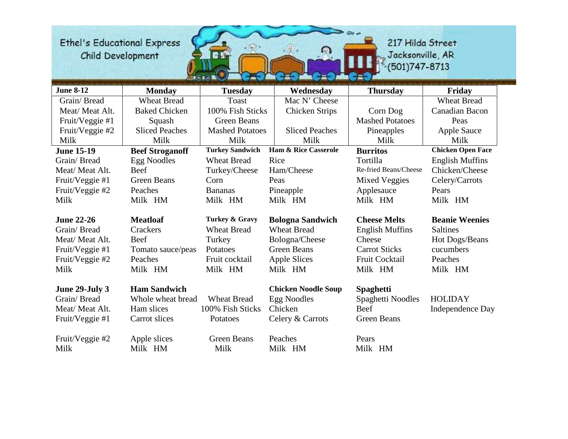

| <b>June 8-12</b>  | <b>Monday</b>          | <b>Tuesday</b>         | Wednesday                       | <b>Thursday</b>        | Friday                   |
|-------------------|------------------------|------------------------|---------------------------------|------------------------|--------------------------|
| Grain/Bread       | <b>Wheat Bread</b>     | <b>Toast</b>           | Mac N' Cheese                   |                        | <b>Wheat Bread</b>       |
| Meat/Meat Alt.    | <b>Baked Chicken</b>   | 100% Fish Sticks       | <b>Chicken Strips</b>           | Corn Dog               | Canadian Bacon           |
| Fruit/Veggie #1   | Squash                 | <b>Green Beans</b>     |                                 | <b>Mashed Potatoes</b> | Peas                     |
| Fruit/Veggie #2   | <b>Sliced Peaches</b>  | <b>Mashed Potatoes</b> | <b>Sliced Peaches</b>           | Pineapples             | <b>Apple Sauce</b>       |
| Milk              | Milk                   | Milk                   | Milk                            | Milk                   | Milk                     |
| <b>June 15-19</b> | <b>Beef Stroganoff</b> | <b>Turkey Sandwich</b> | <b>Ham &amp; Rice Casserole</b> | <b>Burritos</b>        | <b>Chicken Open Face</b> |
| Grain/Bread       | <b>Egg Noodles</b>     | <b>Wheat Bread</b>     | Rice                            | Tortilla               | <b>English Muffins</b>   |
| Meat/Meat Alt.    | Beef                   | Turkey/Cheese          | Ham/Cheese                      | Re-fried Beans/Cheese  | Chicken/Cheese           |
| Fruit/Veggie #1   | <b>Green Beans</b>     | Corn                   | Peas                            | <b>Mixed Veggies</b>   | Celery/Carrots           |
| Fruit/Veggie #2   | Peaches                | <b>Bananas</b>         | Pineapple                       | Applesauce             | Pears                    |
| Milk              | Milk HM                | Milk HM                | Milk HM                         | Milk HM                | Milk HM                  |
|                   |                        |                        |                                 |                        |                          |
| <b>June 22-26</b> | <b>Meatloaf</b>        | Turkey & Gravy         | <b>Bologna Sandwich</b>         | <b>Cheese Melts</b>    | <b>Beanie Weenies</b>    |
| Grain/Bread       | Crackers               | <b>Wheat Bread</b>     | <b>Wheat Bread</b>              | <b>English Muffins</b> | <b>Saltines</b>          |
| Meat/ Meat Alt.   | Beef                   | Turkey                 | Bologna/Cheese                  | Cheese                 | Hot Dogs/Beans           |
| Fruit/Veggie #1   | Tomato sauce/peas      | Potatoes               | <b>Green Beans</b>              | <b>Carrot Sticks</b>   | cucumbers                |
| Fruit/Veggie #2   | Peaches                | Fruit cocktail         | Apple Slices                    | Fruit Cocktail         | Peaches                  |
| Milk              | Milk HM                | Milk HM                | Milk HM                         | Milk HM                | Milk HM                  |
|                   |                        |                        |                                 |                        |                          |
| June 29-July 3    | <b>Ham Sandwich</b>    |                        | <b>Chicken Noodle Soup</b>      | <b>Spaghetti</b>       |                          |
| Grain/Bread       | Whole wheat bread      | <b>Wheat Bread</b>     | <b>Egg Noodles</b>              | Spaghetti Noodles      | <b>HOLIDAY</b>           |
| Meat/Meat Alt.    | Ham slices             | 100% Fish Sticks       | Chicken                         | Beef                   | Independence Day         |
| Fruit/Veggie #1   | Carrot slices          | Potatoes               | Celery & Carrots                | Green Beans            |                          |
|                   |                        |                        |                                 |                        |                          |
| Fruit/Veggie #2   | Apple slices           | <b>Green Beans</b>     | Peaches                         | Pears                  |                          |
| Milk              | Milk HM                | Milk                   | Milk HM                         | Milk HM                |                          |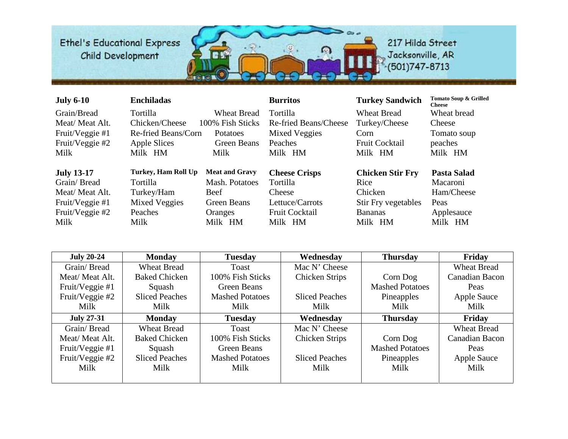

| <b>July 6-10</b>  | <b>Enchiladas</b>    |                       | <b>Burritos</b>       | <b>Turkey Sandwich</b>     | Tomato Soup & Grilled<br><b>Cheese</b> |
|-------------------|----------------------|-----------------------|-----------------------|----------------------------|----------------------------------------|
| Grain/Bread       | Tortilla             | <b>Wheat Bread</b>    | <b>Tortilla</b>       | <b>Wheat Bread</b>         | Wheat bread                            |
| Meat/Meat Alt.    | Chicken/Cheese       | 100% Fish Sticks      | Re-fried Beans/Cheese | Turkey/Cheese              | Cheese                                 |
| Fruit/Veggie #1   | Re-fried Beans/Corn  | <b>Potatoes</b>       | <b>Mixed Veggies</b>  | Corn                       | Tomato soup                            |
| Fruit/Veggie #2   | Apple Slices         | Green Beans           | Peaches               | <b>Fruit Cocktail</b>      | peaches                                |
| Milk              | Milk HM              | Milk                  | Milk HM               | Milk HM                    | Milk HM                                |
|                   |                      |                       |                       |                            |                                        |
|                   |                      |                       |                       |                            |                                        |
| <b>July 13-17</b> | Turkey, Ham Roll Up  | <b>Meat and Gravy</b> | <b>Cheese Crisps</b>  | <b>Chicken Stir Fry</b>    | Pasta Salad                            |
| Grain/Bread       | <b>Tortilla</b>      | Mash. Potatoes        | <b>Tortilla</b>       | Rice                       | Macaroni                               |
| Meat/Meat Alt.    | Turkey/Ham           | <b>Beef</b>           | Cheese                | Chicken                    | Ham/Cheese                             |
| Fruit/Veggie #1   | <b>Mixed Veggies</b> | Green Beans           | Lettuce/Carrots       | <b>Stir Fry vegetables</b> | Peas                                   |
| Fruit/Veggie #2   | Peaches              | Oranges               | <b>Fruit Cocktail</b> | <b>Bananas</b>             | Applesauce                             |
| Milk              | Milk                 | Milk HM               | Milk HM               | Milk HM                    | Milk HM                                |

| <b>July 20-24</b> | <b>Monday</b>         | <b>Tuesday</b>         | Wednesday             | <b>Thursday</b>        | Friday                |
|-------------------|-----------------------|------------------------|-----------------------|------------------------|-----------------------|
| Grain/Bread       | <b>Wheat Bread</b>    | Toast                  | Mac N' Cheese         |                        | <b>Wheat Bread</b>    |
| Meat/Meat Alt.    | <b>Baked Chicken</b>  | 100% Fish Sticks       | <b>Chicken Strips</b> | Corn Dog               | <b>Canadian Bacon</b> |
| Fruit/Veggie #1   | Squash                | <b>Green Beans</b>     |                       | <b>Mashed Potatoes</b> | Peas                  |
| Fruit/Veggie #2   | <b>Sliced Peaches</b> | <b>Mashed Potatoes</b> | <b>Sliced Peaches</b> | Pineapples             | <b>Apple Sauce</b>    |
| Milk              | Milk                  | Milk                   | Milk                  | Milk                   | Milk                  |
| <b>July 27-31</b> | <b>Monday</b>         | <b>Tuesday</b>         | Wednesday             | <b>Thursday</b>        | Friday                |
| Grain/Bread       | <b>Wheat Bread</b>    | Toast                  | Mac N' Cheese         |                        | <b>Wheat Bread</b>    |
| Meat/Meat Alt.    | <b>Baked Chicken</b>  | 100% Fish Sticks       | <b>Chicken Strips</b> | Corn Dog               | Canadian Bacon        |
| Fruit/Veggie #1   | Squash                | Green Beans            |                       | <b>Mashed Potatoes</b> | Peas                  |
| Fruit/Veggie #2   | <b>Sliced Peaches</b> | <b>Mashed Potatoes</b> | <b>Sliced Peaches</b> | Pineapples             | Apple Sauce           |
| Milk              | Milk                  | Milk                   | Milk                  | Milk                   | Milk                  |
|                   |                       |                        |                       |                        |                       |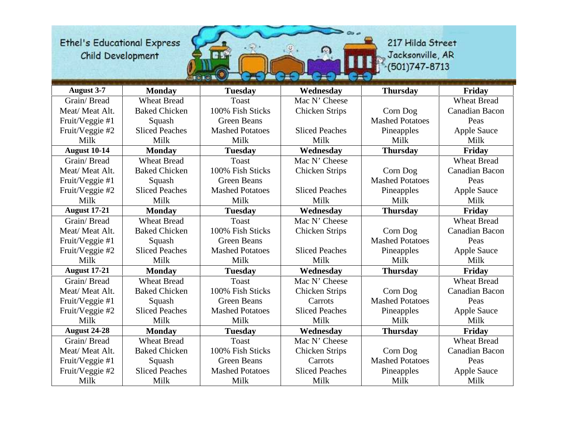

| <b>August 3-7</b>   | <b>Monday</b>         | <b>Tuesday</b>         | Wednesday             | <b>Thursday</b>        | Friday                |
|---------------------|-----------------------|------------------------|-----------------------|------------------------|-----------------------|
| Grain/Bread         | <b>Wheat Bread</b>    | <b>Toast</b>           | Mac N' Cheese         |                        | <b>Wheat Bread</b>    |
| Meat/Meat Alt.      | <b>Baked Chicken</b>  | 100% Fish Sticks       | <b>Chicken Strips</b> | Corn Dog               | <b>Canadian Bacon</b> |
| Fruit/Veggie #1     | Squash                | <b>Green Beans</b>     |                       | <b>Mashed Potatoes</b> | Peas                  |
| Fruit/Veggie #2     | <b>Sliced Peaches</b> | <b>Mashed Potatoes</b> | <b>Sliced Peaches</b> | Pineapples             | <b>Apple Sauce</b>    |
| Milk                | Milk                  | Milk                   | Milk                  | Milk                   | Milk                  |
| <b>August 10-14</b> | <b>Monday</b>         | <b>Tuesday</b>         | Wednesday             | <b>Thursday</b>        | Friday                |
| Grain/Bread         | <b>Wheat Bread</b>    | <b>Toast</b>           | Mac N' Cheese         |                        | <b>Wheat Bread</b>    |
| Meat/Meat Alt.      | <b>Baked Chicken</b>  | 100% Fish Sticks       | <b>Chicken Strips</b> | Corn Dog               | <b>Canadian Bacon</b> |
| Fruit/Veggie #1     | Squash                | <b>Green Beans</b>     |                       | <b>Mashed Potatoes</b> | Peas                  |
| Fruit/Veggie #2     | <b>Sliced Peaches</b> | <b>Mashed Potatoes</b> | <b>Sliced Peaches</b> | Pineapples             | <b>Apple Sauce</b>    |
| Milk                | Milk                  | Milk                   | Milk                  | Milk                   | Milk                  |
| <b>August 17-21</b> | <b>Monday</b>         | <b>Tuesday</b>         | Wednesday             | <b>Thursday</b>        | Friday                |
| Grain/Bread         | <b>Wheat Bread</b>    | <b>Toast</b>           | Mac N' Cheese         |                        | <b>Wheat Bread</b>    |
| Meat/Meat Alt.      | <b>Baked Chicken</b>  | 100% Fish Sticks       | <b>Chicken Strips</b> | Corn Dog               | Canadian Bacon        |
| Fruit/Veggie #1     | Squash                | <b>Green Beans</b>     |                       | <b>Mashed Potatoes</b> | Peas                  |
| Fruit/Veggie #2     | <b>Sliced Peaches</b> | <b>Mashed Potatoes</b> | <b>Sliced Peaches</b> | Pineapples             | <b>Apple Sauce</b>    |
| Milk                | Milk                  | Milk                   | Milk                  | Milk                   | Milk                  |
| <b>August 17-21</b> | <b>Monday</b>         | <b>Tuesday</b>         | Wednesday             | <b>Thursday</b>        | Friday                |
| Grain/Bread         | <b>Wheat Bread</b>    | <b>Toast</b>           | Mac N' Cheese         |                        | <b>Wheat Bread</b>    |
| Meat/Meat Alt.      | <b>Baked Chicken</b>  | 100% Fish Sticks       | <b>Chicken Strips</b> | Corn Dog               | Canadian Bacon        |
| Fruit/Veggie #1     | Squash                | <b>Green Beans</b>     | Carrots               | <b>Mashed Potatoes</b> | Peas                  |
| Fruit/Veggie #2     | <b>Sliced Peaches</b> | <b>Mashed Potatoes</b> | <b>Sliced Peaches</b> | Pineapples             | Apple Sauce           |
| Milk                | Milk                  | Milk                   | Milk                  | Milk                   | Milk                  |
| <b>August 24-28</b> | <b>Monday</b>         | <b>Tuesday</b>         | Wednesday             | <b>Thursday</b>        | Friday                |
| Grain/Bread         | <b>Wheat Bread</b>    | <b>Toast</b>           | Mac N' Cheese         |                        | <b>Wheat Bread</b>    |
| Meat/ Meat Alt.     | <b>Baked Chicken</b>  | 100% Fish Sticks       | <b>Chicken Strips</b> | Corn Dog               | Canadian Bacon        |
| Fruit/Veggie #1     | Squash                | <b>Green Beans</b>     | Carrots               | <b>Mashed Potatoes</b> | Peas                  |
| Fruit/Veggie #2     | <b>Sliced Peaches</b> | <b>Mashed Potatoes</b> | <b>Sliced Peaches</b> | Pineapples             | <b>Apple Sauce</b>    |
| Milk                | Milk                  | Milk                   | Milk                  | Milk                   | Milk                  |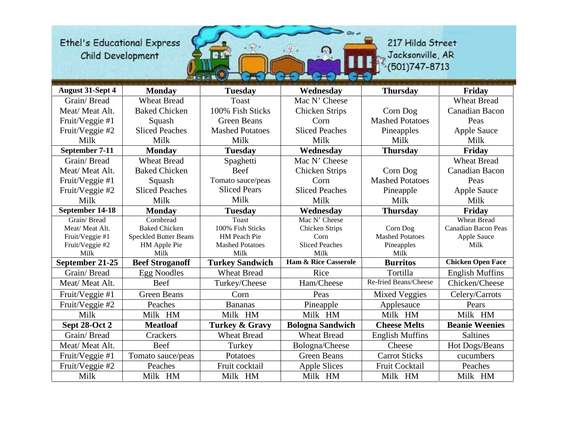

| <b>August 31-Sept 4</b> | <b>Monday</b>                | <b>Tuesday</b>            | Wednesday                       | <b>Thursday</b>        | Friday                     |
|-------------------------|------------------------------|---------------------------|---------------------------------|------------------------|----------------------------|
| Grain/Bread             | <b>Wheat Bread</b>           | <b>Toast</b>              | Mac N' Cheese                   |                        | <b>Wheat Bread</b>         |
| Meat/Meat Alt.          | <b>Baked Chicken</b>         | 100% Fish Sticks          | <b>Chicken Strips</b>           | Corn Dog               | <b>Canadian Bacon</b>      |
| Fruit/Veggie #1         | Squash                       | <b>Green Beans</b>        | Corn                            | <b>Mashed Potatoes</b> | Peas                       |
| Fruit/Veggie #2         | <b>Sliced Peaches</b>        | <b>Mashed Potatoes</b>    | <b>Sliced Peaches</b>           | Pineapples             | <b>Apple Sauce</b>         |
| Milk                    | Milk                         | Milk                      | Milk                            | Milk                   | Milk                       |
| September 7-11          | <b>Monday</b>                | <b>Tuesday</b>            | Wednesday                       | <b>Thursday</b>        | Friday                     |
| Grain/Bread             | <b>Wheat Bread</b>           | Spaghetti                 | Mac N' Cheese                   |                        | <b>Wheat Bread</b>         |
| Meat/Meat Alt.          | <b>Baked Chicken</b>         | Beef                      | Chicken Strips                  | Corn Dog               | Canadian Bacon             |
| Fruit/Veggie #1         | Squash                       | Tomato sauce/peas         | Corn                            | <b>Mashed Potatoes</b> | Peas                       |
| Fruit/Veggie #2         | <b>Sliced Peaches</b>        | <b>Sliced Pears</b>       | <b>Sliced Peaches</b>           | Pineapple              | <b>Apple Sauce</b>         |
| Milk                    | Milk                         | Milk                      | Milk                            | Milk                   | Milk                       |
| September 14-18         | <b>Monday</b>                | <b>Tuesday</b>            | Wednesday                       | <b>Thursday</b>        | Friday                     |
| Grain/Bread             | Cornbread                    | <b>Toast</b>              | Mac N' Cheese                   |                        | <b>Wheat Bread</b>         |
| Meat/Meat Alt.          | <b>Baked Chicken</b>         | 100% Fish Sticks          | <b>Chicken Strips</b>           | Corn Dog               | <b>Canadian Bacon Peas</b> |
| Fruit/Veggie #1         | <b>Speckled Butter Beans</b> | HM Peach Pie              | Corn                            | <b>Mashed Potatoes</b> | Apple Sauce                |
| Fruit/Veggie #2         | HM Apple Pie                 | <b>Mashed Potatoes</b>    | <b>Sliced Peaches</b>           | Pineapples             | Milk                       |
| Milk                    | Milk                         | Milk                      | Milk                            | Milk                   |                            |
| September 21-25         | <b>Beef Stroganoff</b>       | <b>Turkey Sandwich</b>    | <b>Ham &amp; Rice Casserole</b> | <b>Burritos</b>        | <b>Chicken Open Face</b>   |
| Grain/Bread             | <b>Egg Noodles</b>           | <b>Wheat Bread</b>        | Rice                            | Tortilla               | <b>English Muffins</b>     |
| Meat/ Meat Alt.         | Beef                         | Turkey/Cheese             | Ham/Cheese                      | Re-fried Beans/Cheese  | Chicken/Cheese             |
| Fruit/Veggie #1         | <b>Green Beans</b>           | Corn                      | Peas                            | Mixed Veggies          | Celery/Carrots             |
| Fruit/Veggie #2         | Peaches                      | <b>Bananas</b>            | Pineapple                       | Applesauce             | Pears                      |
| Milk                    | Milk HM                      | Milk HM                   | Milk HM                         | Milk HM                | Milk HM                    |
| Sept 28-Oct 2           | <b>Meatloaf</b>              | <b>Turkey &amp; Gravy</b> | <b>Bologna Sandwich</b>         | <b>Cheese Melts</b>    | <b>Beanie Weenies</b>      |
| Grain/Bread             | Crackers                     | <b>Wheat Bread</b>        | <b>Wheat Bread</b>              | <b>English Muffins</b> | <b>Saltines</b>            |
| Meat/Meat Alt.          | Beef                         | Turkey                    | Bologna/Cheese                  | Cheese                 | Hot Dogs/Beans             |
| Fruit/Veggie #1         | Tomato sauce/peas            | Potatoes                  | <b>Green Beans</b>              | <b>Carrot Sticks</b>   | cucumbers                  |
| Fruit/Veggie #2         | Peaches                      | Fruit cocktail            | <b>Apple Slices</b>             | Fruit Cocktail         | Peaches                    |
| Milk                    | Milk HM                      | Milk HM                   | Milk HM                         | Milk HM                | Milk HM                    |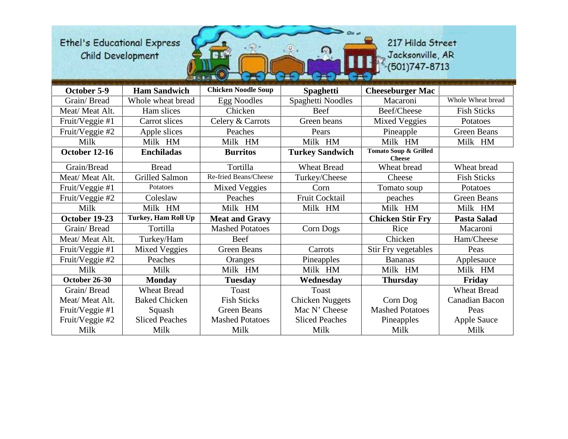

| October 5-9     | <b>Ham Sandwich</b>   | <b>Chicken Noodle Soup</b> | <b>Spaghetti</b>       | <b>Cheeseburger Mac</b>                           |                    |
|-----------------|-----------------------|----------------------------|------------------------|---------------------------------------------------|--------------------|
| Grain/Bread     | Whole wheat bread     | <b>Egg Noodles</b>         | Spaghetti Noodles      | Macaroni                                          | Whole Wheat bread  |
| Meat/ Meat Alt. | Ham slices            | Chicken                    | Beef                   | Beef/Cheese                                       | <b>Fish Sticks</b> |
| Fruit/Veggie #1 | Carrot slices         | Celery & Carrots           | Green beans            | <b>Mixed Veggies</b>                              | Potatoes           |
| Fruit/Veggie #2 | Apple slices          | Peaches                    | Pears                  | Pineapple                                         | <b>Green Beans</b> |
| Milk            | Milk HM               | Milk HM                    | Milk HM                | Milk HM                                           | Milk HM            |
| October 12-16   | <b>Enchiladas</b>     | <b>Burritos</b>            | <b>Turkey Sandwich</b> | <b>Tomato Soup &amp; Grilled</b><br><b>Cheese</b> |                    |
| Grain/Bread     | <b>Bread</b>          | Tortilla                   | <b>Wheat Bread</b>     | Wheat bread                                       | Wheat bread        |
| Meat/ Meat Alt. | <b>Grilled Salmon</b> | Re-fried Beans/Cheese      | Turkey/Cheese          | Cheese                                            | <b>Fish Sticks</b> |
| Fruit/Veggie #1 | Potatoes              | <b>Mixed Veggies</b>       | Corn                   | Tomato soup                                       | Potatoes           |
| Fruit/Veggie #2 | Coleslaw              | Peaches                    | Fruit Cocktail         | peaches                                           | <b>Green Beans</b> |
| Milk            | Milk HM               | Milk HM                    | Milk HM                | Milk HM                                           | Milk HM            |
| October 19-23   | Turkey, Ham Roll Up   | <b>Meat and Gravy</b>      |                        | <b>Chicken Stir Fry</b>                           | Pasta Salad        |
| Grain/Bread     | Tortilla              | <b>Mashed Potatoes</b>     | Corn Dogs              | Rice                                              | Macaroni           |
| Meat/ Meat Alt. | Turkey/Ham            | Beef                       |                        | Chicken                                           | Ham/Cheese         |
| Fruit/Veggie #1 | <b>Mixed Veggies</b>  | <b>Green Beans</b>         | Carrots                | Stir Fry vegetables                               | Peas               |
| Fruit/Veggie #2 | Peaches               | Oranges                    | Pineapples             | <b>Bananas</b>                                    | Applesauce         |
| Milk            | Milk                  | Milk HM                    | Milk HM                | Milk HM                                           | Milk HM            |
| October 26-30   | <b>Monday</b>         | <b>Tuesday</b>             | Wednesday              | <b>Thursday</b>                                   | Friday             |
| Grain/Bread     | <b>Wheat Bread</b>    | Toast                      | Toast                  |                                                   | <b>Wheat Bread</b> |
| Meat/Meat Alt.  | <b>Baked Chicken</b>  | <b>Fish Sticks</b>         | <b>Chicken Nuggets</b> | Corn Dog                                          | Canadian Bacon     |
| Fruit/Veggie #1 | Squash                | Green Beans                | Mac N' Cheese          | <b>Mashed Potatoes</b>                            | Peas               |
| Fruit/Veggie #2 | <b>Sliced Peaches</b> | <b>Mashed Potatoes</b>     | <b>Sliced Peaches</b>  | Pineapples                                        | Apple Sauce        |
| Milk            | Milk                  | Milk                       | Milk                   | Milk                                              | Milk               |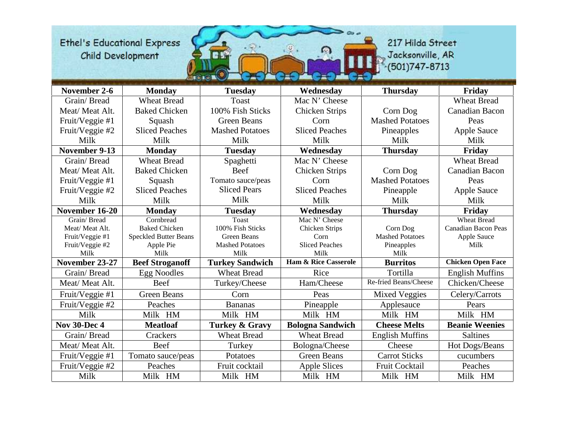

| November 2-6        | <b>Monday</b>                | <b>Tuesday</b>            | Wednesday                       | <b>Thursday</b>        | Friday                     |
|---------------------|------------------------------|---------------------------|---------------------------------|------------------------|----------------------------|
| Grain/Bread         | <b>Wheat Bread</b>           | Toast                     | Mac N' Cheese                   |                        | <b>Wheat Bread</b>         |
| Meat/Meat Alt.      | <b>Baked Chicken</b>         | 100% Fish Sticks          | <b>Chicken Strips</b>           | Corn Dog               | Canadian Bacon             |
| Fruit/Veggie #1     | Squash                       | <b>Green Beans</b>        | Corn                            | <b>Mashed Potatoes</b> | Peas                       |
| Fruit/Veggie #2     | <b>Sliced Peaches</b>        | <b>Mashed Potatoes</b>    | <b>Sliced Peaches</b>           | Pineapples             | <b>Apple Sauce</b>         |
| Milk                | Milk                         | Milk                      | Milk                            | Milk                   | Milk                       |
| November 9-13       | <b>Monday</b>                | <b>Tuesday</b>            | Wednesday                       | <b>Thursday</b>        | Friday                     |
| Grain/Bread         | <b>Wheat Bread</b>           | Spaghetti                 | Mac N' Cheese                   |                        | <b>Wheat Bread</b>         |
| Meat/Meat Alt.      | <b>Baked Chicken</b>         | Beef                      | <b>Chicken Strips</b>           | Corn Dog               | <b>Canadian Bacon</b>      |
| Fruit/Veggie #1     | Squash                       | Tomato sauce/peas         | Corn                            | <b>Mashed Potatoes</b> | Peas                       |
| Fruit/Veggie #2     | <b>Sliced Peaches</b>        | <b>Sliced Pears</b>       | <b>Sliced Peaches</b>           | Pineapple              | <b>Apple Sauce</b>         |
| Milk                | Milk                         | Milk                      | Milk                            | Milk                   | Milk                       |
| November 16-20      | <b>Monday</b>                | <b>Tuesday</b>            | Wednesday                       | <b>Thursday</b>        | Friday                     |
| Grain/Bread         | Cornbread                    | Toast                     | Mac N' Cheese                   |                        | <b>Wheat Bread</b>         |
| Meat/Meat Alt.      | <b>Baked Chicken</b>         | 100% Fish Sticks          | <b>Chicken Strips</b>           | Corn Dog               | <b>Canadian Bacon Peas</b> |
| Fruit/Veggie #1     | <b>Speckled Butter Beans</b> | Green Beans               | Corn                            | <b>Mashed Potatoes</b> | Apple Sauce                |
| Fruit/Veggie #2     | Apple Pie                    | <b>Mashed Potatoes</b>    | <b>Sliced Peaches</b>           | Pineapples             | Milk                       |
| Milk                | Milk                         | Milk                      | Milk                            | Milk                   |                            |
| November 23-27      | <b>Beef Stroganoff</b>       | <b>Turkey Sandwich</b>    | <b>Ham &amp; Rice Casserole</b> | <b>Burritos</b>        | <b>Chicken Open Face</b>   |
| Grain/Bread         | <b>Egg Noodles</b>           | <b>Wheat Bread</b>        | Rice                            | Tortilla               | <b>English Muffins</b>     |
| Meat/Meat Alt.      | Beef                         | Turkey/Cheese             | Ham/Cheese                      | Re-fried Beans/Cheese  | Chicken/Cheese             |
| Fruit/Veggie #1     | <b>Green Beans</b>           | Corn                      | Peas                            | Mixed Veggies          | Celery/Carrots             |
| Fruit/Veggie #2     | Peaches                      | <b>Bananas</b>            | Pineapple                       | Applesauce             | Pears                      |
| Milk                | Milk HM                      | Milk HM                   | Milk HM                         | Milk HM                | Milk HM                    |
| <b>Nov 30-Dec 4</b> | <b>Meatloaf</b>              | <b>Turkey &amp; Gravy</b> | <b>Bologna Sandwich</b>         | <b>Cheese Melts</b>    | <b>Beanie Weenies</b>      |
| Grain/Bread         | Crackers                     | <b>Wheat Bread</b>        | <b>Wheat Bread</b>              | <b>English Muffins</b> | <b>Saltines</b>            |
| Meat/Meat Alt.      | Beef                         | Turkey                    | Bologna/Cheese                  | Cheese                 | Hot Dogs/Beans             |
| Fruit/Veggie #1     | Tomato sauce/peas            | Potatoes                  | <b>Green Beans</b>              | <b>Carrot Sticks</b>   | cucumbers                  |
| Fruit/Veggie #2     | Peaches                      | Fruit cocktail            | <b>Apple Slices</b>             | Fruit Cocktail         | Peaches                    |
| Milk                | Milk HM                      | Milk HM                   | Milk HM                         | Milk HM                | Milk HM                    |